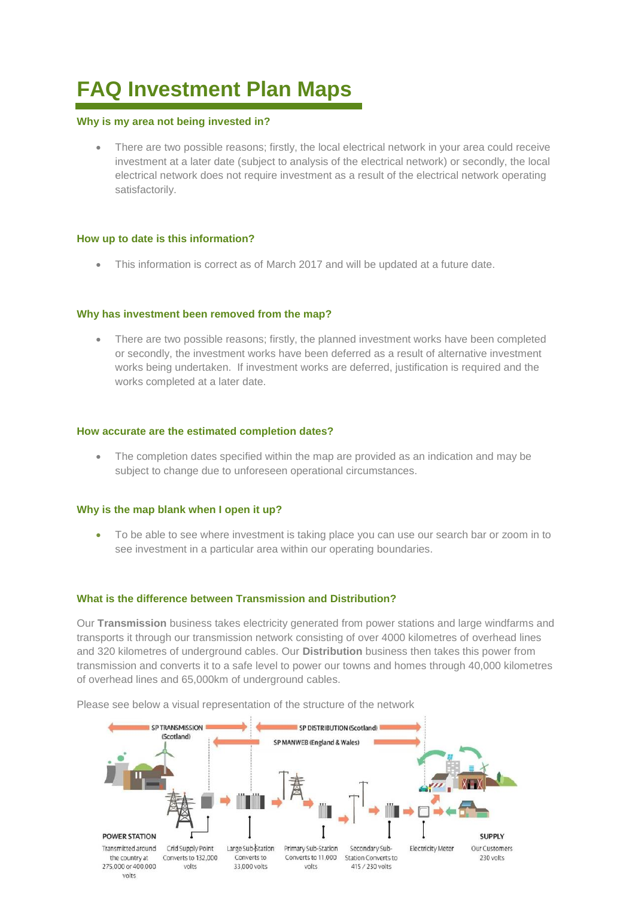# **FAQ Investment Plan Maps**

#### **Why is my area not being invested in?**

 There are two possible reasons; firstly, the local electrical network in your area could receive investment at a later date (subject to analysis of the electrical network) or secondly, the local electrical network does not require investment as a result of the electrical network operating satisfactorily.

## **How up to date is this information?**

This information is correct as of March 2017 and will be updated at a future date.

## **Why has investment been removed from the map?**

• There are two possible reasons; firstly, the planned investment works have been completed or secondly, the investment works have been deferred as a result of alternative investment works being undertaken. If investment works are deferred, justification is required and the works completed at a later date.

#### **How accurate are the estimated completion dates?**

• The completion dates specified within the map are provided as an indication and may be subject to change due to unforeseen operational circumstances.

#### **Why is the map blank when I open it up?**

 To be able to see where investment is taking place you can use our search bar or zoom in to see investment in a particular area within our operating boundaries.

#### **What is the difference between Transmission and Distribution?**

Our **Transmission** business takes electricity generated from power stations and large windfarms and transports it through our transmission network consisting of over 4000 kilometres of overhead lines and 320 kilometres of underground cables. Our **Distribution** business then takes this power from transmission and converts it to a safe level to power our towns and homes through 40,000 kilometres of overhead lines and 65,000km of underground cables.

Please see below a visual representation of the structure of the network